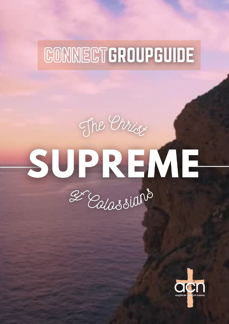# CONNECTGROUPGUIDE

# The Christ SUPREME 2 Calassians

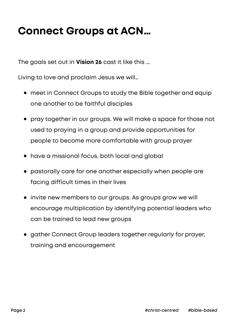## **Connect Groups at ACN…**

The goals set out in **Vision 26** cast it like this ….

Living to love and proclaim Jesus we will…

- **•** meet in Connect Groups to study the Bible together and equip one another to be faithful disciples
- **•** pray together in our groups. We will make a space for those not used to praying in a group and provide opportunities for people to become more comfortable with group prayer
- **•** have a missional focus, both local and global
- **•** pastorally care for one another especially when people are facing difficult times in their lives
- **•** invite new members to our groups. As groups grow we will encourage multiplication by identifying potential leaders who can be trained to lead new groups
- **•** gather Connect Group leaders together regularly for prayer, training and encouragement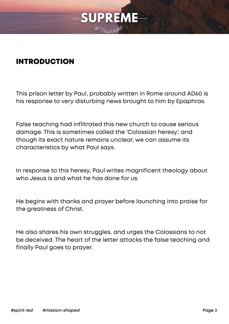

#### INTRODUCTION

This prison letter by Paul, probably written in Rome around AD60 is his response to very disturbing news brought to him by Epaphras.

False teaching had infiltrated this new church to cause serious damage. This is sometimes called the 'Colossian heresy', and though its exact nature remains unclear, we can assume its characteristics by what Paul says.

In response to this heresy, Paul writes magnificent theology about who Jesus is and what he has done for us.

He begins with thanks and prayer before launching into praise for the greatness of Christ.

He also shares his own struggles, and urges the Colossians to not be deceived. The heart of the letter attacks the false teaching and finally Paul goes to prayer.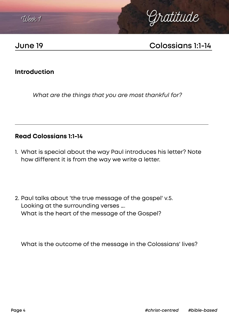



## **June 19 Colossians 1:1-14**

#### **Introduction**

*What are the things that you are most thankful for?*

#### **Read Colossians 1:1-14**

- 1. What is special about the way Paul introduces his letter? Note how different it is from the way we write a letter.
- 2. Paul talks about 'the true message of the gospel' v.5. Looking at the surrounding verses …. What is the heart of the message of the Gospel?

What is the outcome of the message in the Colossians' lives?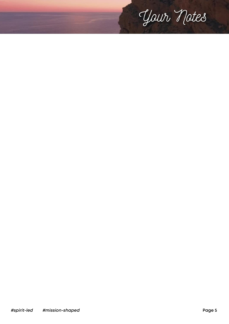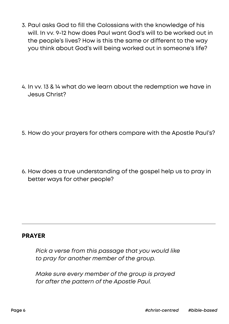- 3. Paul asks God to fill the Colossians with the knowledge of his will. In vv. 9-12 how does Paul want God's will to be worked out in the people's lives? How is this the same or different to the way you think about God's will being worked out in someone's life?
- 4. In vv. 13 & 14 what do we learn about the redemption we have in Jesus Christ?
- 5. How do your prayers for others compare with the Apostle Paul's?
- 6. How does a true understanding of the gospel help us to pray in better ways for other people?

#### **PRAYER**

*Pick a verse from this passage that you would like to pray for another member of the group.*

*Make sure every member of the group is prayed for after the pattern of the Apostle Paul.*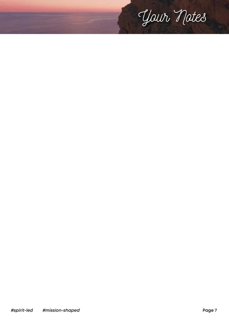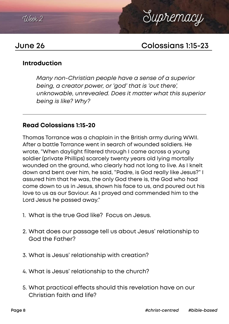



## **June 26 Colossians 1:15-23**

#### **Introduction**

*Many non-Christian people have a sense of a superior being, a creator power, or 'god' that is 'out there', unknowable, unrevealed. Does it matter what this superior being is like? Why?*

#### **Read Colossians 1:15-20**

Thomas Torrance was a chaplain in the British army during WWII. After a battle Torrance went in search of wounded soldiers. He wrote, "When daylight filtered through I came across a young soldier (private Phillips) scarcely twenty years old lying mortally wounded on the ground, who clearly had not long to live. As I knelt down and bent over him, he said, "Padre, is God really like Jesus?" I assured him that he was, the only God there is, the God who had come down to us in Jesus, shown his face to us, and poured out his love to us as our Saviour. As I prayed and commended him to the Lord Jesus he passed away."

- 1. What is the true God like? Focus on Jesus.
- 2. What does our passage tell us about Jesus' relationship to God the Father?
- 3. What is Jesus' relationship with creation?
- 4. What is Jesus' relationship to the church?
- 5. What practical effects should this revelation have on our Christian faith and life?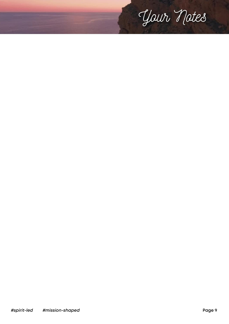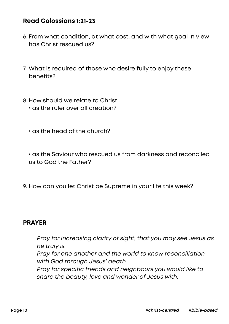#### **Read Colossians 1:21-23**

- 6. From what condition, at what cost, and with what goal in view has Christ rescued us?
- 7. What is required of those who desire fully to enjoy these benefits?
- 8. How should we relate to Christ …
	- **•** as the ruler over all creation?
	- **•** as the head of the church?

**•** as the Saviour who rescued us from darkness and reconciled us to God the Father?

9. How can you let Christ be Supreme in your life this week?

#### **PRAYER**

*Pray for increasing clarity of sight, that you may see Jesus as he truly is. Pray for one another and the world to know reconciliation with God through Jesus' death. Pray for specific friends and neighbours you would like to share the beauty, love and wonder of Jesus with.*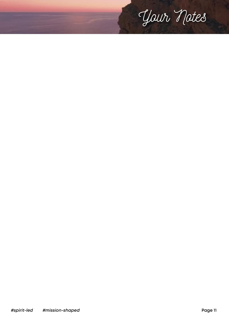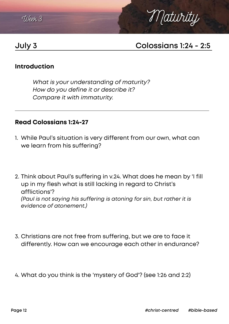



## **July 3 Colossians 1:24 - 2:5**

#### **Introduction**

*What is your understanding of maturity? How do you define it or describe it? Compare it with immaturity.*

#### **Read Colossians 1:24-27**

- 1. While Paul's situation is very different from our own, what can we learn from his suffering?
- 2. Think about Paul's suffering in v.24. What does he mean by 'I fill up in my flesh what is still lacking in regard to Christ's afflictions'? *(Paul is not saying his suffering is atoning for sin, but rather it is evidence of atonement.)*
- 3. Christians are not free from suffering, but we are to face it differently. How can we encourage each other in endurance?
- 4. What do you think is the 'mystery of God'? (see 1:26 and 2:2)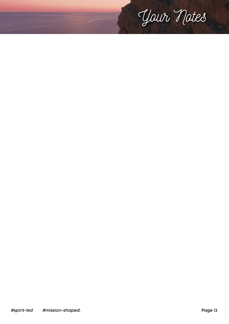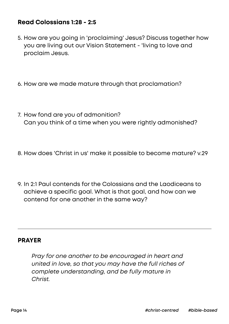#### **Read Colossians 1:28 - 2:5**

- 5. How are you going in 'proclaiming' Jesus? Discuss together how you are living out our Vision Statement - 'living to love and proclaim Jesus.
- 6. How are we made mature through that proclamation?
- 7. How fond are you of admonition? Can you think of a time when you were rightly admonished?
- 8. How does 'Christ in us' make it possible to become mature? v.29
- 9. In 2:1 Paul contends for the Colossians and the Laodiceans to achieve a specific goal. What is that goal, and how can we contend for one another in the same way?

#### **PRAYER**

*Pray for one another to be encouraged in heart and united in love, so that you may have the full riches of complete understanding, and be fully mature in Christ.*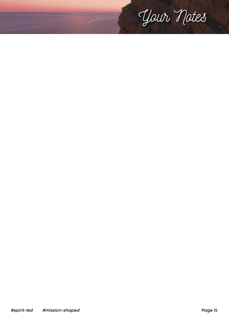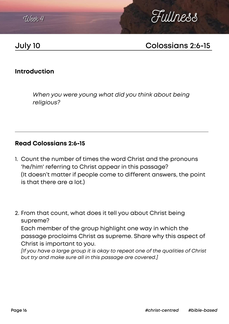TILeek, 4



## **July 10 Colossians 2:6-15**

#### **Introduction**

*When you were young what did you think about being religious?*

#### **Read Colossians 2:6-15**

- 1. Count the number of times the word Christ and the pronouns 'he/him' referring to Christ appear in this passage? (It doesn't matter if people come to different answers, the point is that there are a lot.)
- 2. From that count, what does it tell you about Christ being supreme?

Each member of the group highlight one way in which the passage proclaims Christ as supreme. Share why this aspect of Christ is important to you.

*[If you have a large group it is okay to repeat one of the qualities of Christ but try and make sure all in this passage are covered.]*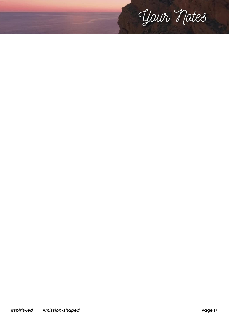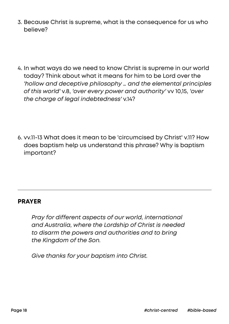- 3. Because Christ is supreme, what is the consequence for us who believe?
- 4. In what ways do we need to know Christ is supreme in our world today? Think about what it means for him to be Lord over the *'hollow and deceptive philosophy … and the elemental principles of this world'* v.8, *'over every power and authority'* vv 10,15, *'over the charge of legal indebtedness'* v.14?
- 6. vv.11-13 What does it mean to be 'circumcised by Christ' v.11? How does baptism help us understand this phrase? Why is baptism important?

#### **PRAYER**

*Pray for different aspects of our world, international and Australia, where the Lordship of Christ is needed to disarm the powers and authorities and to bring the Kingdom of the Son.*

*Give thanks for your baptism into Christ.*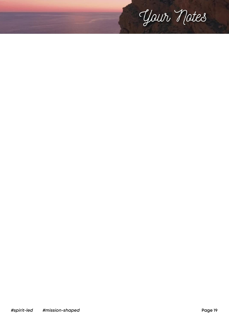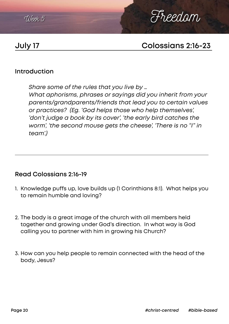



## **July 17 Colossians 2:16-23**

#### **Introduction**

*Share some of the rules that you live by … What aphorisms, phrases or sayings did you inherit from your parents/grandparents/friends that lead you to certain values or practices? (Eg. 'God helps those who help themselves',*  'don't judge a book by its cover', 'the early bird catches the *worm', 'the second mouse gets the cheese', 'There is no "I" in team'.)*

#### **Read Colossians 2:16-19**

- 1. Knowledge puffs up, love builds up (1 Corinthians 8:1). What helps you to remain humble and loving?
- 2. The body is a great image of the church with all members held together and growing under God's direction. In what way is God calling you to partner with him in growing his Church?
- 3. How can you help people to remain connected with the head of the body, Jesus?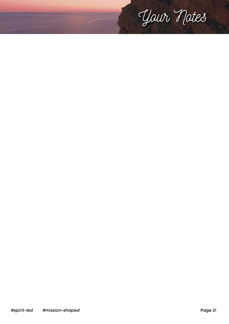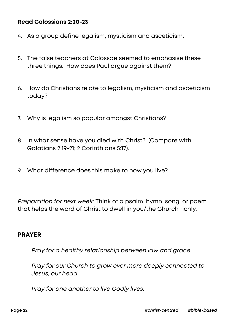#### **Read Colossians 2:20-23**

- 4. As a group define legalism, mysticism and asceticism.
- 5. The false teachers at Colossae seemed to emphasise these three things. How does Paul argue against them?
- 6. How do Christians relate to legalism, mysticism and asceticism today?
- 7. Why is legalism so popular amongst Christians?
- 8. In what sense have you died with Christ? (Compare with Galatians 2:19-21; 2 Corinthians 5:17).
- 9. What difference does this make to how you live?

*Preparation for next week:* Think of a psalm, hymn, song, or poem that helps the word of Christ to dwell in you/the Church richly.

#### **PRAYER**

*Pray for a healthy relationship between law and grace.* 

*Pray for our Church to grow ever more deeply connected to Jesus, our head.* 

*Pray for one another to live Godly lives.*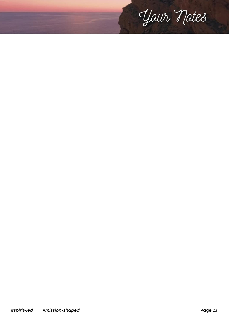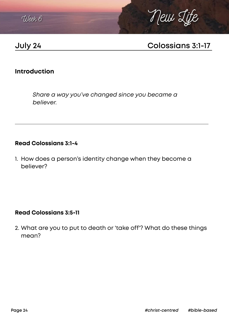



## **July 24 Colossians 3:1-17**

#### **Introduction**

*Share a way you've changed since you became a believer.*

#### **Read Colossians 3:1-4**

1. How does a person's identity change when they become a believer?

#### **Read Colossians 3:5-11**

2. What are you to put to death or 'take off'? What do these things mean?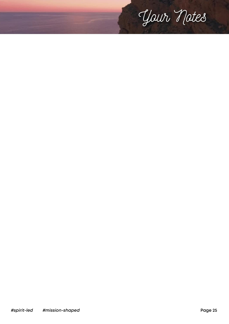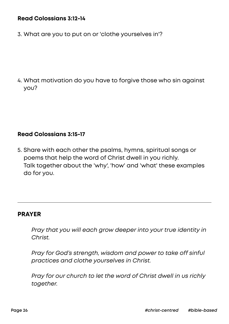#### **Read Colossians 3:12-14**

3. What are you to put on or 'clothe yourselves in'?

4. What motivation do you have to forgive those who sin against you?

#### **Read Colossians 3:15-17**

5. Share with each other the psalms, hymns, spiritual songs or poems that help the word of Christ dwell in you richly. Talk together about the 'why', 'how' and 'what' these examples do for you.

#### **PRAYER**

*Pray that you will each grow deeper into your true identity in Christ.* 

*Pray for God's strength, wisdom and power to take off sinful practices and clothe yourselves in Christ.* 

*Pray for our church to let the word of Christ dwell in us richly together.*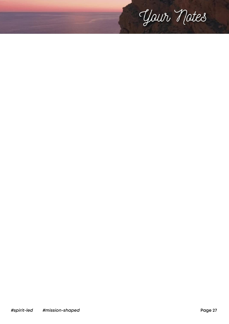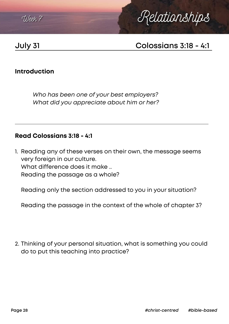



## **July 31 Colossians 3:18 - 4:1**

#### **Introduction**

*Who has been one of your best employers? What did you appreciate about him or her?*

#### **Read Colossians 3:18 - 4:1**

1. Reading any of these verses on their own, the message seems very foreign in our culture. What difference does it make ... Reading the passage as a whole?

Reading only the section addressed to you in your situation?

Reading the passage in the context of the whole of chapter 3?

2. Thinking of your personal situation, what is something you could do to put this teaching into practice?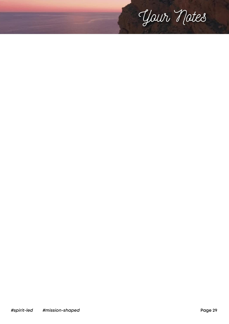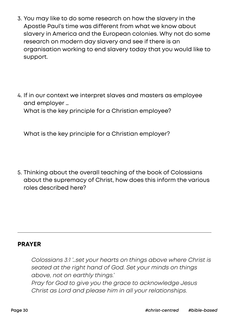- 3. You may like to do some research on how the slavery in the Apostle Paul's time was different from what we know about slavery in America and the European colonies. Why not do some research on modern day slavery and see if there is an organisation working to end slavery today that you would like to support.
- 4. If in our context we interpret slaves and masters as employee and employer … What is the key principle for a Christian employee?

What is the key principle for a Christian employer?

5. Thinking about the overall teaching of the book of Colossians about the supremacy of Christ, how does this inform the various roles described here?

#### **PRAYER**

*Colossians 3:1 '…set your hearts on things above where Christ is seated at the right hand of God. Set your minds on things above, not on earthly things.' Pray for God to give you the grace to acknowledge Jesus Christ as Lord and please him in all your relationships.*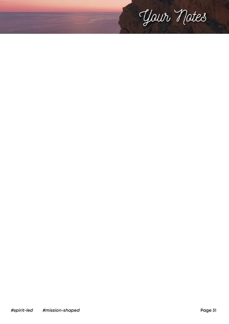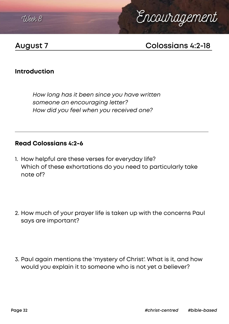

# Encouragement

## **August 7 Colossians 4:2-18**

#### **Introduction**

*How long has it been since you have written someone an encouraging letter? How did you feel when you received one?*

#### **Read Colossians 4:2-6**

- 1. How helpful are these verses for everyday life? Which of these exhortations do you need to particularly take note of?
- 2. How much of your prayer life is taken up with the concerns Paul says are important?
- 3. Paul again mentions the 'mystery of Christ'. What is it, and how would you explain it to someone who is not yet a believer?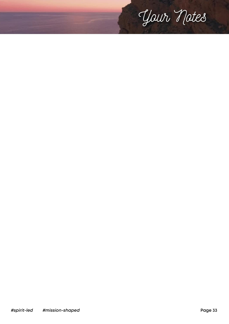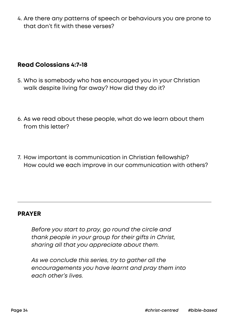4. Are there any patterns of speech or behaviours you are prone to that don't fit with these verses?

#### **Read Colossians 4:7-18**

- 5. Who is somebody who has encouraged you in your Christian walk despite living far away? How did they do it?
- 6. As we read about these people, what do we learn about them from this letter?
- 7. How important is communication in Christian fellowship? How could we each improve in our communication with others?

#### **PRAYER**

*Before you start to pray, go round the circle and thank people in your group for their gifts in Christ, sharing all that you appreciate about them.*

*As we conclude this series, try to gather all the encouragements you have learnt and pray them into each other's lives.*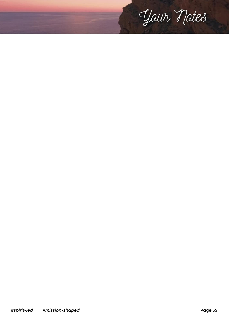